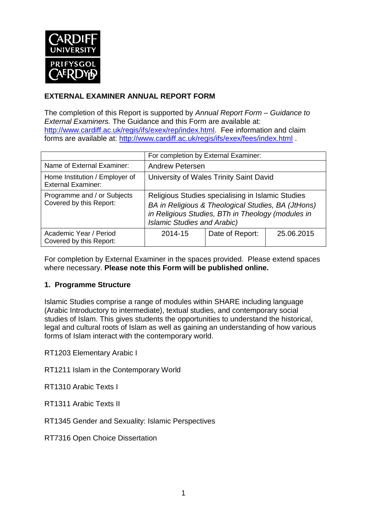

# **EXTERNAL EXAMINER ANNUAL REPORT FORM**

The completion of this Report is supported by *Annual Report Form – Guidance to External Examiners.* The Guidance and this Form are available at: [http://www.cardiff.ac.uk/regis/ifs/exex/rep/index.html.](http://www.cardiff.ac.uk/regis/ifs/exex/rep/index.html) Fee information and claim forms are available at:<http://www.cardiff.ac.uk/regis/ifs/exex/fees/index.html> .

|                                                             | For completion by External Examiner:                                                                                                                                                               |                 |            |  |  |
|-------------------------------------------------------------|----------------------------------------------------------------------------------------------------------------------------------------------------------------------------------------------------|-----------------|------------|--|--|
| Name of External Examiner:                                  | <b>Andrew Petersen</b>                                                                                                                                                                             |                 |            |  |  |
| Home Institution / Employer of<br><b>External Examiner:</b> | University of Wales Trinity Saint David                                                                                                                                                            |                 |            |  |  |
| Programme and / or Subjects<br>Covered by this Report:      | Religious Studies specialising in Islamic Studies<br>BA in Religious & Theological Studies, BA (JtHons)<br>in Religious Studies, BTh in Theology (modules in<br><b>Islamic Studies and Arabic)</b> |                 |            |  |  |
| Academic Year / Period<br>Covered by this Report:           | 2014-15                                                                                                                                                                                            | Date of Report: | 25.06.2015 |  |  |

For completion by External Examiner in the spaces provided. Please extend spaces where necessary. **Please note this Form will be published online.**

#### **1. Programme Structure**

Islamic Studies comprise a range of modules within SHARE including language (Arabic Introductory to intermediate), textual studies, and contemporary social studies of Islam. This gives students the opportunities to understand the historical, legal and cultural roots of Islam as well as gaining an understanding of how various forms of Islam interact with the contemporary world.

RT1203 Elementary Arabic I

RT1211 Islam in the Contemporary World

RT1310 Arabic Texts I

RT1311 Arabic Texts II

RT1345 Gender and Sexuality: Islamic Perspectives

RT7316 Open Choice Dissertation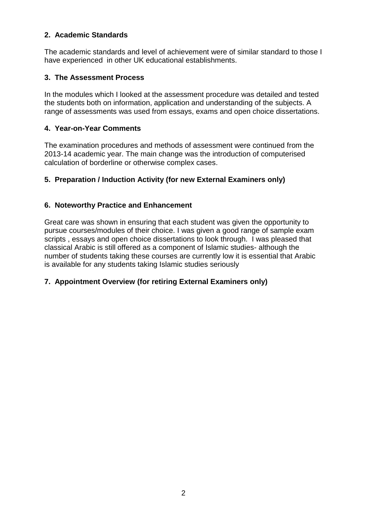## **2. Academic Standards**

The academic standards and level of achievement were of similar standard to those I have experienced in other UK educational establishments.

#### **3. The Assessment Process**

In the modules which I looked at the assessment procedure was detailed and tested the students both on information, application and understanding of the subjects. A range of assessments was used from essays, exams and open choice dissertations.

#### **4. Year-on-Year Comments**

The examination procedures and methods of assessment were continued from the 2013-14 academic year. The main change was the introduction of computerised calculation of borderline or otherwise complex cases.

### **5. Preparation / Induction Activity (for new External Examiners only)**

### **6. Noteworthy Practice and Enhancement**

Great care was shown in ensuring that each student was given the opportunity to pursue courses/modules of their choice. I was given a good range of sample exam scripts , essays and open choice dissertations to look through. I was pleased that classical Arabic is still offered as a component of Islamic studies- although the number of students taking these courses are currently low it is essential that Arabic is available for any students taking Islamic studies seriously

#### **7. Appointment Overview (for retiring External Examiners only)**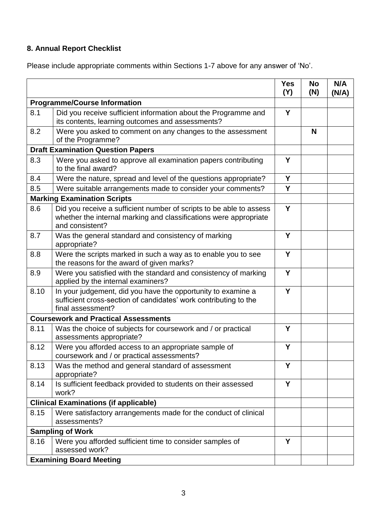# **8. Annual Report Checklist**

Please include appropriate comments within Sections 1-7 above for any answer of 'No'.

|                                             |                                                                                                                                                             | <b>Yes</b><br>(Y) | <b>No</b><br>(N) | N/A<br>(N/A) |
|---------------------------------------------|-------------------------------------------------------------------------------------------------------------------------------------------------------------|-------------------|------------------|--------------|
| <b>Programme/Course Information</b>         |                                                                                                                                                             |                   |                  |              |
| 8.1                                         | Did you receive sufficient information about the Programme and<br>its contents, learning outcomes and assessments?                                          | Y                 |                  |              |
| 8.2                                         | Were you asked to comment on any changes to the assessment<br>of the Programme?                                                                             |                   | N                |              |
| <b>Draft Examination Question Papers</b>    |                                                                                                                                                             |                   |                  |              |
| 8.3                                         | Were you asked to approve all examination papers contributing<br>to the final award?                                                                        | Y                 |                  |              |
| 8.4                                         | Were the nature, spread and level of the questions appropriate?                                                                                             | Y                 |                  |              |
| 8.5                                         | Were suitable arrangements made to consider your comments?                                                                                                  | Y                 |                  |              |
|                                             | <b>Marking Examination Scripts</b>                                                                                                                          |                   |                  |              |
| 8.6                                         | Did you receive a sufficient number of scripts to be able to assess<br>whether the internal marking and classifications were appropriate<br>and consistent? | Y                 |                  |              |
| 8.7                                         | Was the general standard and consistency of marking<br>appropriate?                                                                                         | Υ                 |                  |              |
| 8.8                                         | Were the scripts marked in such a way as to enable you to see<br>the reasons for the award of given marks?                                                  | Y                 |                  |              |
| 8.9                                         | Were you satisfied with the standard and consistency of marking<br>applied by the internal examiners?                                                       | Y                 |                  |              |
| 8.10                                        | In your judgement, did you have the opportunity to examine a<br>sufficient cross-section of candidates' work contributing to the<br>final assessment?       | Y                 |                  |              |
| <b>Coursework and Practical Assessments</b> |                                                                                                                                                             |                   |                  |              |
| 8.11                                        | Was the choice of subjects for coursework and / or practical<br>assessments appropriate?                                                                    | Y                 |                  |              |
| 8.12                                        | Were you afforded access to an appropriate sample of<br>coursework and / or practical assessments?                                                          | Y                 |                  |              |
| 8.13                                        | Was the method and general standard of assessment<br>appropriate?                                                                                           | Y                 |                  |              |
| 8.14                                        | Is sufficient feedback provided to students on their assessed<br>work?                                                                                      | Y                 |                  |              |
|                                             | <b>Clinical Examinations (if applicable)</b>                                                                                                                |                   |                  |              |
| 8.15                                        | Were satisfactory arrangements made for the conduct of clinical<br>assessments?                                                                             |                   |                  |              |
| <b>Sampling of Work</b>                     |                                                                                                                                                             |                   |                  |              |
| 8.16                                        | Were you afforded sufficient time to consider samples of<br>assessed work?                                                                                  | Y                 |                  |              |
| <b>Examining Board Meeting</b>              |                                                                                                                                                             |                   |                  |              |